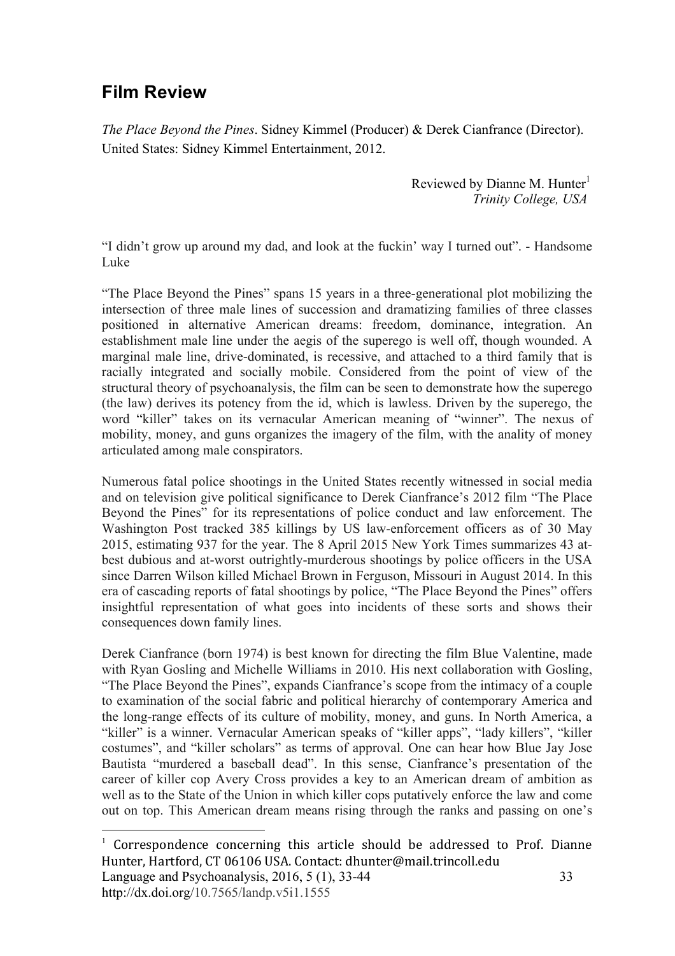## **Film Review**

 $\overline{a}$ 

*The Place Beyond the Pines*. Sidney Kimmel (Producer) & Derek Cianfrance (Director). United States: Sidney Kimmel Entertainment, 2012.

> Reviewed by Dianne M. Hunter $<sup>1</sup>$ </sup>  *Trinity College, USA*

"I didn't grow up around my dad, and look at the fuckin' way I turned out". - Handsome Luke

"The Place Beyond the Pines" spans 15 years in a three-generational plot mobilizing the intersection of three male lines of succession and dramatizing families of three classes positioned in alternative American dreams: freedom, dominance, integration. An establishment male line under the aegis of the superego is well off, though wounded. A marginal male line, drive-dominated, is recessive, and attached to a third family that is racially integrated and socially mobile. Considered from the point of view of the structural theory of psychoanalysis, the film can be seen to demonstrate how the superego (the law) derives its potency from the id, which is lawless. Driven by the superego, the word "killer" takes on its vernacular American meaning of "winner". The nexus of mobility, money, and guns organizes the imagery of the film, with the anality of money articulated among male conspirators.

Numerous fatal police shootings in the United States recently witnessed in social media and on television give political significance to Derek Cianfrance's 2012 film "The Place Beyond the Pines" for its representations of police conduct and law enforcement. The Washington Post tracked 385 killings by US law-enforcement officers as of 30 May 2015, estimating 937 for the year. The 8 April 2015 New York Times summarizes 43 atbest dubious and at-worst outrightly-murderous shootings by police officers in the USA since Darren Wilson killed Michael Brown in Ferguson, Missouri in August 2014. In this era of cascading reports of fatal shootings by police, "The Place Beyond the Pines" offers insightful representation of what goes into incidents of these sorts and shows their consequences down family lines.

Derek Cianfrance (born 1974) is best known for directing the film Blue Valentine, made with Ryan Gosling and Michelle Williams in 2010. His next collaboration with Gosling, "The Place Beyond the Pines", expands Cianfrance's scope from the intimacy of a couple to examination of the social fabric and political hierarchy of contemporary America and the long-range effects of its culture of mobility, money, and guns. In North America, a "killer" is a winner. Vernacular American speaks of "killer apps", "lady killers", "killer costumes", and "killer scholars" as terms of approval. One can hear how Blue Jay Jose Bautista "murdered a baseball dead". In this sense, Cianfrance's presentation of the career of killer cop Avery Cross provides a key to an American dream of ambition as well as to the State of the Union in which killer cops putatively enforce the law and come out on top. This American dream means rising through the ranks and passing on one's

Language and Psychoanalysis, 2016, 5 (1), 33-44 http://dx.doi.org/10.7565/landp.v5i1.1555 33  $1$  Correspondence concerning this article should be addressed to Prof. Dianne Hunter, Hartford, CT 06106 USA. Contact: dhunter@mail.trincoll.edu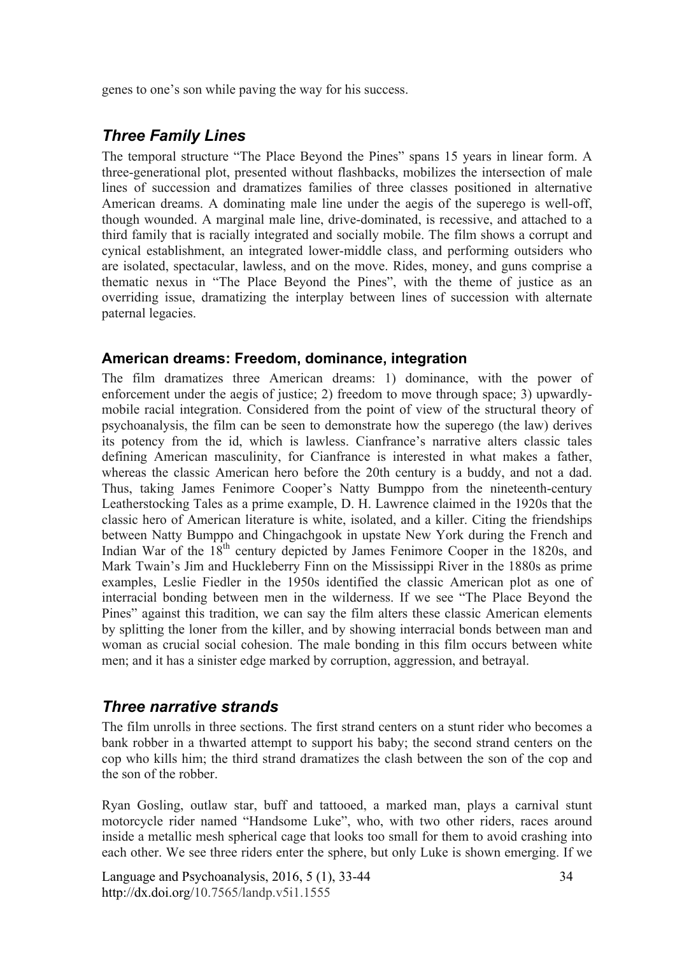genes to one's son while paving the way for his success.

### *Three Family Lines*

The temporal structure "The Place Beyond the Pines" spans 15 years in linear form. A three-generational plot, presented without flashbacks, mobilizes the intersection of male lines of succession and dramatizes families of three classes positioned in alternative American dreams. A dominating male line under the aegis of the superego is well-off, though wounded. A marginal male line, drive-dominated, is recessive, and attached to a third family that is racially integrated and socially mobile. The film shows a corrupt and cynical establishment, an integrated lower-middle class, and performing outsiders who are isolated, spectacular, lawless, and on the move. Rides, money, and guns comprise a thematic nexus in "The Place Beyond the Pines", with the theme of justice as an overriding issue, dramatizing the interplay between lines of succession with alternate paternal legacies.

#### **American dreams: Freedom, dominance, integration**

The film dramatizes three American dreams: 1) dominance, with the power of enforcement under the aegis of justice; 2) freedom to move through space; 3) upwardlymobile racial integration. Considered from the point of view of the structural theory of psychoanalysis, the film can be seen to demonstrate how the superego (the law) derives its potency from the id, which is lawless. Cianfrance's narrative alters classic tales defining American masculinity, for Cianfrance is interested in what makes a father, whereas the classic American hero before the 20th century is a buddy, and not a dad. Thus, taking James Fenimore Cooper's Natty Bumppo from the nineteenth-century Leatherstocking Tales as a prime example, D. H. Lawrence claimed in the 1920s that the classic hero of American literature is white, isolated, and a killer. Citing the friendships between Natty Bumppo and Chingachgook in upstate New York during the French and Indian War of the 18<sup>th</sup> century depicted by James Fenimore Cooper in the 1820s, and Mark Twain's Jim and Huckleberry Finn on the Mississippi River in the 1880s as prime examples, Leslie Fiedler in the 1950s identified the classic American plot as one of interracial bonding between men in the wilderness. If we see "The Place Beyond the Pines" against this tradition, we can say the film alters these classic American elements by splitting the loner from the killer, and by showing interracial bonds between man and woman as crucial social cohesion. The male bonding in this film occurs between white men; and it has a sinister edge marked by corruption, aggression, and betrayal.

#### *Three narrative strands*

The film unrolls in three sections. The first strand centers on a stunt rider who becomes a bank robber in a thwarted attempt to support his baby; the second strand centers on the cop who kills him; the third strand dramatizes the clash between the son of the cop and the son of the robber.

Ryan Gosling, outlaw star, buff and tattooed, a marked man, plays a carnival stunt motorcycle rider named "Handsome Luke", who, with two other riders, races around inside a metallic mesh spherical cage that looks too small for them to avoid crashing into each other. We see three riders enter the sphere, but only Luke is shown emerging. If we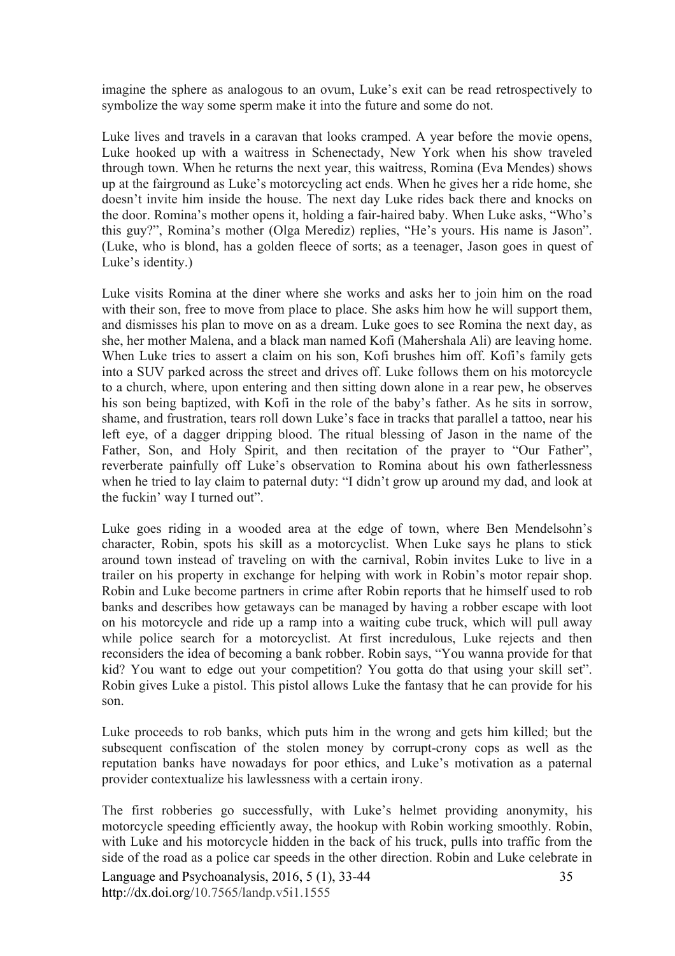imagine the sphere as analogous to an ovum, Luke's exit can be read retrospectively to symbolize the way some sperm make it into the future and some do not.

Luke lives and travels in a caravan that looks cramped. A year before the movie opens, Luke hooked up with a waitress in Schenectady, New York when his show traveled through town. When he returns the next year, this waitress, Romina (Eva Mendes) shows up at the fairground as Luke's motorcycling act ends. When he gives her a ride home, she doesn't invite him inside the house. The next day Luke rides back there and knocks on the door. Romina's mother opens it, holding a fair-haired baby. When Luke asks, "Who's this guy?", Romina's mother (Olga Merediz) replies, "He's yours. His name is Jason". (Luke, who is blond, has a golden fleece of sorts; as a teenager, Jason goes in quest of Luke's identity.)

Luke visits Romina at the diner where she works and asks her to join him on the road with their son, free to move from place to place. She asks him how he will support them, and dismisses his plan to move on as a dream. Luke goes to see Romina the next day, as she, her mother Malena, and a black man named Kofi (Mahershala Ali) are leaving home. When Luke tries to assert a claim on his son. Kofi brushes him off. Kofi's family gets into a SUV parked across the street and drives off. Luke follows them on his motorcycle to a church, where, upon entering and then sitting down alone in a rear pew, he observes his son being baptized, with Kofi in the role of the baby's father. As he sits in sorrow, shame, and frustration, tears roll down Luke's face in tracks that parallel a tattoo, near his left eye, of a dagger dripping blood. The ritual blessing of Jason in the name of the Father, Son, and Holy Spirit, and then recitation of the prayer to "Our Father", reverberate painfully off Luke's observation to Romina about his own fatherlessness when he tried to lay claim to paternal duty: "I didn't grow up around my dad, and look at the fuckin' way I turned out".

Luke goes riding in a wooded area at the edge of town, where Ben Mendelsohn's character, Robin, spots his skill as a motorcyclist. When Luke says he plans to stick around town instead of traveling on with the carnival, Robin invites Luke to live in a trailer on his property in exchange for helping with work in Robin's motor repair shop. Robin and Luke become partners in crime after Robin reports that he himself used to rob banks and describes how getaways can be managed by having a robber escape with loot on his motorcycle and ride up a ramp into a waiting cube truck, which will pull away while police search for a motorcyclist. At first incredulous, Luke rejects and then reconsiders the idea of becoming a bank robber. Robin says, "You wanna provide for that kid? You want to edge out your competition? You gotta do that using your skill set". Robin gives Luke a pistol. This pistol allows Luke the fantasy that he can provide for his son.

Luke proceeds to rob banks, which puts him in the wrong and gets him killed; but the subsequent confiscation of the stolen money by corrupt-crony cops as well as the reputation banks have nowadays for poor ethics, and Luke's motivation as a paternal provider contextualize his lawlessness with a certain irony.

The first robberies go successfully, with Luke's helmet providing anonymity, his motorcycle speeding efficiently away, the hookup with Robin working smoothly. Robin, with Luke and his motorcycle hidden in the back of his truck, pulls into traffic from the side of the road as a police car speeds in the other direction. Robin and Luke celebrate in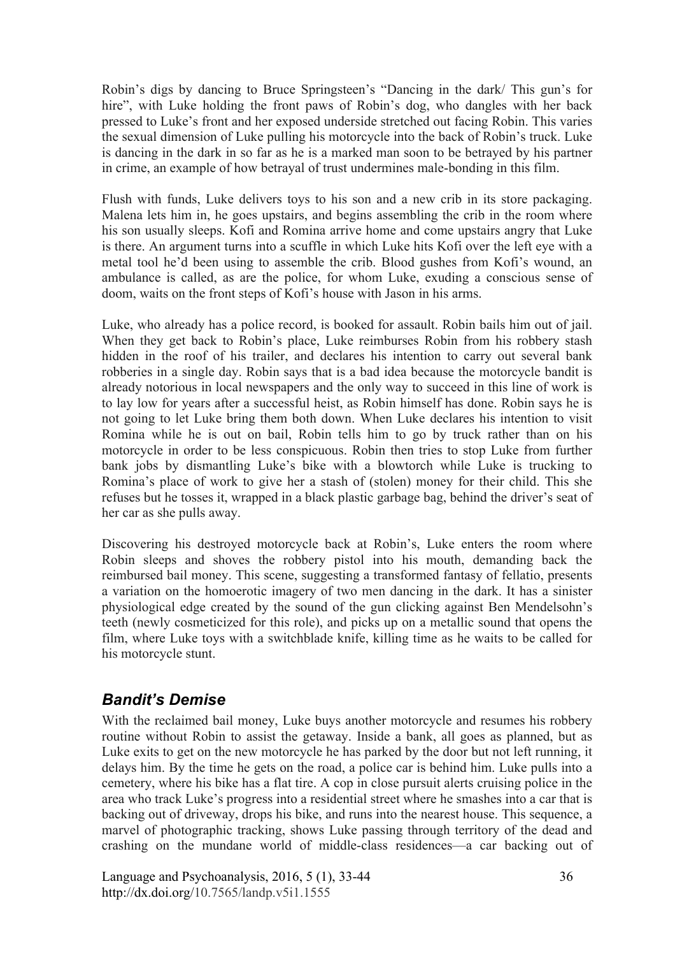Robin's digs by dancing to Bruce Springsteen's "Dancing in the dark/ This gun's for hire", with Luke holding the front paws of Robin's dog, who dangles with her back pressed to Luke's front and her exposed underside stretched out facing Robin. This varies the sexual dimension of Luke pulling his motorcycle into the back of Robin's truck. Luke is dancing in the dark in so far as he is a marked man soon to be betrayed by his partner in crime, an example of how betrayal of trust undermines male-bonding in this film.

Flush with funds, Luke delivers toys to his son and a new crib in its store packaging. Malena lets him in, he goes upstairs, and begins assembling the crib in the room where his son usually sleeps. Kofi and Romina arrive home and come upstairs angry that Luke is there. An argument turns into a scuffle in which Luke hits Kofi over the left eye with a metal tool he'd been using to assemble the crib. Blood gushes from Kofi's wound, an ambulance is called, as are the police, for whom Luke, exuding a conscious sense of doom, waits on the front steps of Kofi's house with Jason in his arms.

Luke, who already has a police record, is booked for assault. Robin bails him out of jail. When they get back to Robin's place, Luke reimburses Robin from his robbery stash hidden in the roof of his trailer, and declares his intention to carry out several bank robberies in a single day. Robin says that is a bad idea because the motorcycle bandit is already notorious in local newspapers and the only way to succeed in this line of work is to lay low for years after a successful heist, as Robin himself has done. Robin says he is not going to let Luke bring them both down. When Luke declares his intention to visit Romina while he is out on bail, Robin tells him to go by truck rather than on his motorcycle in order to be less conspicuous. Robin then tries to stop Luke from further bank jobs by dismantling Luke's bike with a blowtorch while Luke is trucking to Romina's place of work to give her a stash of (stolen) money for their child. This she refuses but he tosses it, wrapped in a black plastic garbage bag, behind the driver's seat of her car as she pulls away.

Discovering his destroyed motorcycle back at Robin's, Luke enters the room where Robin sleeps and shoves the robbery pistol into his mouth, demanding back the reimbursed bail money. This scene, suggesting a transformed fantasy of fellatio, presents a variation on the homoerotic imagery of two men dancing in the dark. It has a sinister physiological edge created by the sound of the gun clicking against Ben Mendelsohn's teeth (newly cosmeticized for this role), and picks up on a metallic sound that opens the film, where Luke toys with a switchblade knife, killing time as he waits to be called for his motorcycle stunt.

#### *Bandit's Demise*

With the reclaimed bail money, Luke buys another motorcycle and resumes his robbery routine without Robin to assist the getaway. Inside a bank, all goes as planned, but as Luke exits to get on the new motorcycle he has parked by the door but not left running, it delays him. By the time he gets on the road, a police car is behind him. Luke pulls into a cemetery, where his bike has a flat tire. A cop in close pursuit alerts cruising police in the area who track Luke's progress into a residential street where he smashes into a car that is backing out of driveway, drops his bike, and runs into the nearest house. This sequence, a marvel of photographic tracking, shows Luke passing through territory of the dead and crashing on the mundane world of middle-class residences—a car backing out of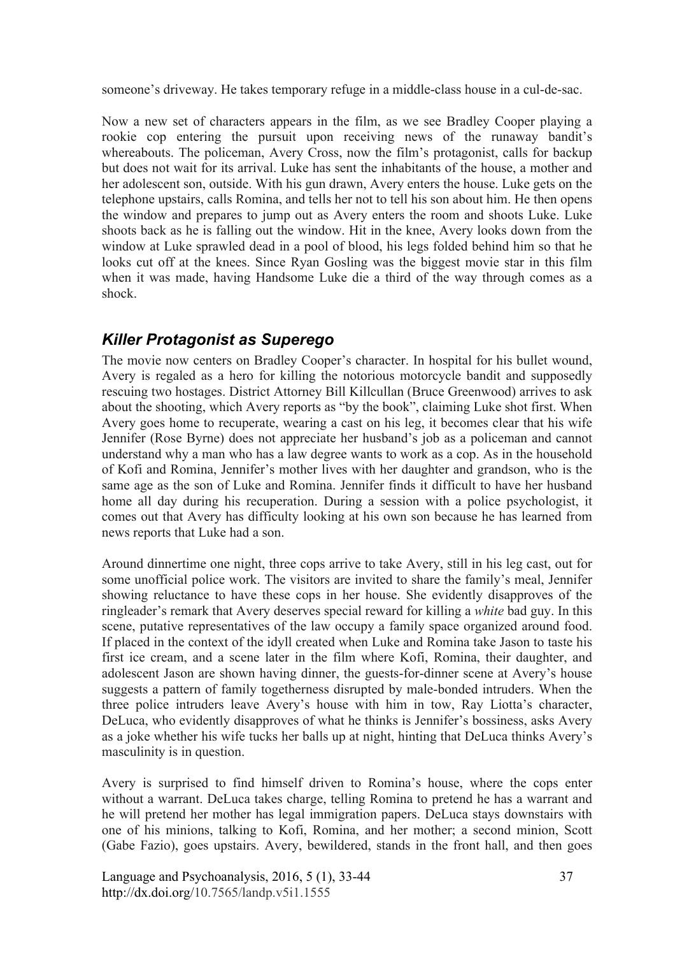someone's driveway. He takes temporary refuge in a middle-class house in a cul-de-sac.

Now a new set of characters appears in the film, as we see Bradley Cooper playing a rookie cop entering the pursuit upon receiving news of the runaway bandit's whereabouts. The policeman, Avery Cross, now the film's protagonist, calls for backup but does not wait for its arrival. Luke has sent the inhabitants of the house, a mother and her adolescent son, outside. With his gun drawn, Avery enters the house. Luke gets on the telephone upstairs, calls Romina, and tells her not to tell his son about him. He then opens the window and prepares to jump out as Avery enters the room and shoots Luke. Luke shoots back as he is falling out the window. Hit in the knee, Avery looks down from the window at Luke sprawled dead in a pool of blood, his legs folded behind him so that he looks cut off at the knees. Since Ryan Gosling was the biggest movie star in this film when it was made, having Handsome Luke die a third of the way through comes as a shock.

### *Killer Protagonist as Superego*

The movie now centers on Bradley Cooper's character. In hospital for his bullet wound, Avery is regaled as a hero for killing the notorious motorcycle bandit and supposedly rescuing two hostages. District Attorney Bill Killcullan (Bruce Greenwood) arrives to ask about the shooting, which Avery reports as "by the book", claiming Luke shot first. When Avery goes home to recuperate, wearing a cast on his leg, it becomes clear that his wife Jennifer (Rose Byrne) does not appreciate her husband's job as a policeman and cannot understand why a man who has a law degree wants to work as a cop. As in the household of Kofi and Romina, Jennifer's mother lives with her daughter and grandson, who is the same age as the son of Luke and Romina. Jennifer finds it difficult to have her husband home all day during his recuperation. During a session with a police psychologist, it comes out that Avery has difficulty looking at his own son because he has learned from news reports that Luke had a son.

Around dinnertime one night, three cops arrive to take Avery, still in his leg cast, out for some unofficial police work. The visitors are invited to share the family's meal, Jennifer showing reluctance to have these cops in her house. She evidently disapproves of the ringleader's remark that Avery deserves special reward for killing a *white* bad guy. In this scene, putative representatives of the law occupy a family space organized around food. If placed in the context of the idyll created when Luke and Romina take Jason to taste his first ice cream, and a scene later in the film where Kofi, Romina, their daughter, and adolescent Jason are shown having dinner, the guests-for-dinner scene at Avery's house suggests a pattern of family togetherness disrupted by male-bonded intruders. When the three police intruders leave Avery's house with him in tow, Ray Liotta's character, DeLuca, who evidently disapproves of what he thinks is Jennifer's bossiness, asks Avery as a joke whether his wife tucks her balls up at night, hinting that DeLuca thinks Avery's masculinity is in question.

Avery is surprised to find himself driven to Romina's house, where the cops enter without a warrant. DeLuca takes charge, telling Romina to pretend he has a warrant and he will pretend her mother has legal immigration papers. DeLuca stays downstairs with one of his minions, talking to Kofi, Romina, and her mother; a second minion, Scott (Gabe Fazio), goes upstairs. Avery, bewildered, stands in the front hall, and then goes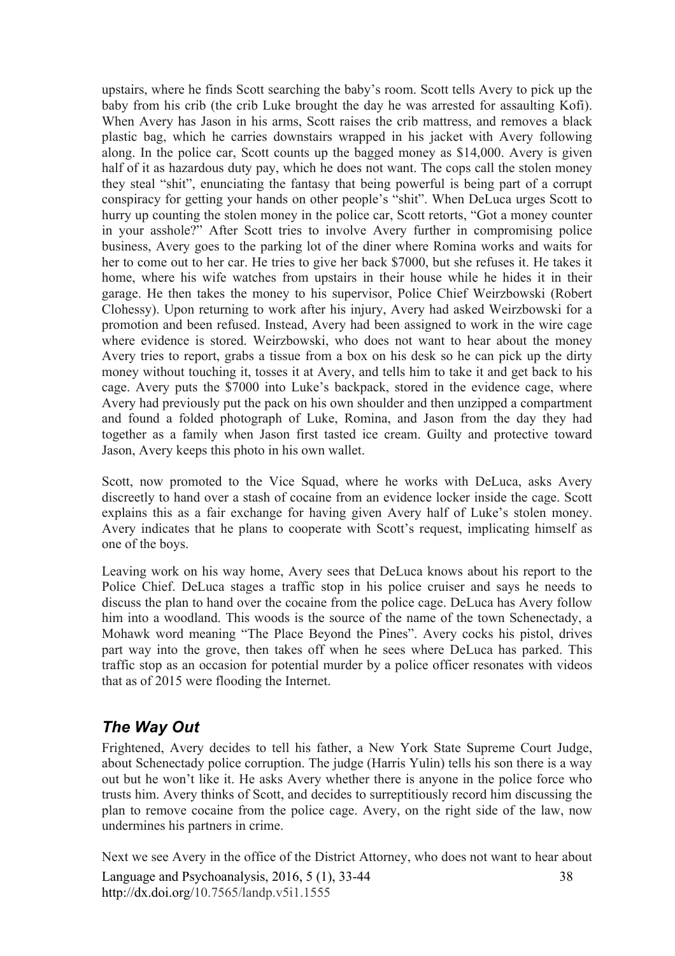upstairs, where he finds Scott searching the baby's room. Scott tells Avery to pick up the baby from his crib (the crib Luke brought the day he was arrested for assaulting Kofi). When Avery has Jason in his arms, Scott raises the crib mattress, and removes a black plastic bag, which he carries downstairs wrapped in his jacket with Avery following along. In the police car, Scott counts up the bagged money as \$14,000. Avery is given half of it as hazardous duty pay, which he does not want. The cops call the stolen money they steal "shit", enunciating the fantasy that being powerful is being part of a corrupt conspiracy for getting your hands on other people's "shit". When DeLuca urges Scott to hurry up counting the stolen money in the police car, Scott retorts, "Got a money counter in your asshole?" After Scott tries to involve Avery further in compromising police business, Avery goes to the parking lot of the diner where Romina works and waits for her to come out to her car. He tries to give her back \$7000, but she refuses it. He takes it home, where his wife watches from upstairs in their house while he hides it in their garage. He then takes the money to his supervisor, Police Chief Weirzbowski (Robert Clohessy). Upon returning to work after his injury, Avery had asked Weirzbowski for a promotion and been refused. Instead, Avery had been assigned to work in the wire cage where evidence is stored. Weirzbowski, who does not want to hear about the money Avery tries to report, grabs a tissue from a box on his desk so he can pick up the dirty money without touching it, tosses it at Avery, and tells him to take it and get back to his cage. Avery puts the \$7000 into Luke's backpack, stored in the evidence cage, where Avery had previously put the pack on his own shoulder and then unzipped a compartment and found a folded photograph of Luke, Romina, and Jason from the day they had together as a family when Jason first tasted ice cream. Guilty and protective toward Jason, Avery keeps this photo in his own wallet.

Scott, now promoted to the Vice Squad, where he works with DeLuca, asks Avery discreetly to hand over a stash of cocaine from an evidence locker inside the cage. Scott explains this as a fair exchange for having given Avery half of Luke's stolen money. Avery indicates that he plans to cooperate with Scott's request, implicating himself as one of the boys.

Leaving work on his way home, Avery sees that DeLuca knows about his report to the Police Chief. DeLuca stages a traffic stop in his police cruiser and says he needs to discuss the plan to hand over the cocaine from the police cage. DeLuca has Avery follow him into a woodland. This woods is the source of the name of the town Schenectady, a Mohawk word meaning "The Place Beyond the Pines". Avery cocks his pistol, drives part way into the grove, then takes off when he sees where DeLuca has parked. This traffic stop as an occasion for potential murder by a police officer resonates with videos that as of 2015 were flooding the Internet.

#### *The Way Out*

Frightened, Avery decides to tell his father, a New York State Supreme Court Judge, about Schenectady police corruption. The judge (Harris Yulin) tells his son there is a way out but he won't like it. He asks Avery whether there is anyone in the police force who trusts him. Avery thinks of Scott, and decides to surreptitiously record him discussing the plan to remove cocaine from the police cage. Avery, on the right side of the law, now undermines his partners in crime.

Language and Psychoanalysis, 2016, 5 (1), 33-44 http://dx.doi.org/10.7565/landp.v5i1.1555 38 Next we see Avery in the office of the District Attorney, who does not want to hear about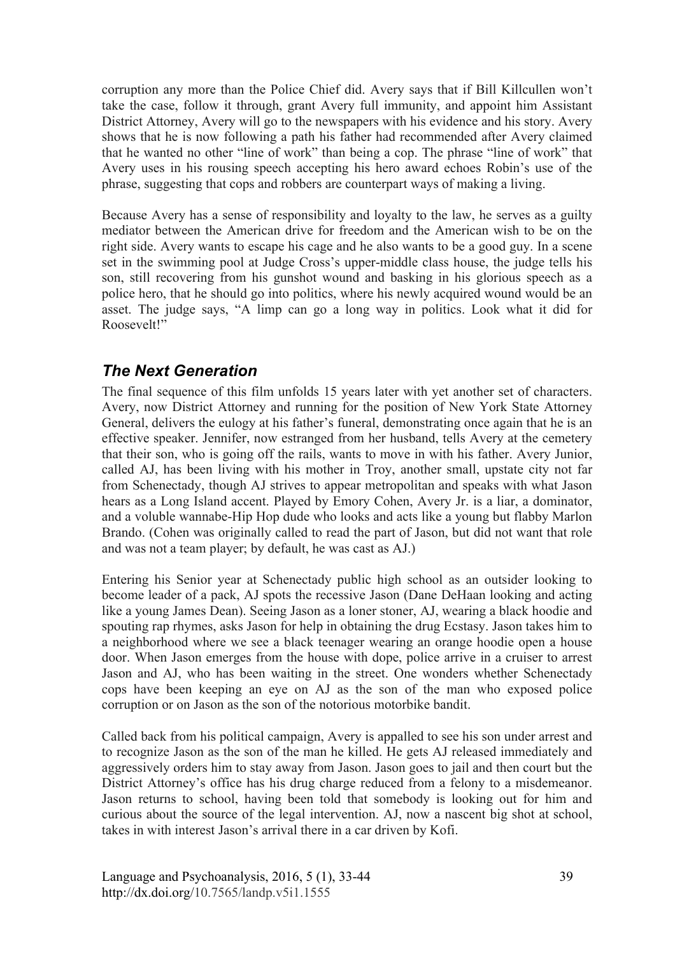corruption any more than the Police Chief did. Avery says that if Bill Killcullen won't take the case, follow it through, grant Avery full immunity, and appoint him Assistant District Attorney, Avery will go to the newspapers with his evidence and his story. Avery shows that he is now following a path his father had recommended after Avery claimed that he wanted no other "line of work" than being a cop. The phrase "line of work" that Avery uses in his rousing speech accepting his hero award echoes Robin's use of the phrase, suggesting that cops and robbers are counterpart ways of making a living.

Because Avery has a sense of responsibility and loyalty to the law, he serves as a guilty mediator between the American drive for freedom and the American wish to be on the right side. Avery wants to escape his cage and he also wants to be a good guy. In a scene set in the swimming pool at Judge Cross's upper-middle class house, the judge tells his son, still recovering from his gunshot wound and basking in his glorious speech as a police hero, that he should go into politics, where his newly acquired wound would be an asset. The judge says, "A limp can go a long way in politics. Look what it did for Roosevelt!"

#### *The Next Generation*

The final sequence of this film unfolds 15 years later with yet another set of characters. Avery, now District Attorney and running for the position of New York State Attorney General, delivers the eulogy at his father's funeral, demonstrating once again that he is an effective speaker. Jennifer, now estranged from her husband, tells Avery at the cemetery that their son, who is going off the rails, wants to move in with his father. Avery Junior, called AJ, has been living with his mother in Troy, another small, upstate city not far from Schenectady, though AJ strives to appear metropolitan and speaks with what Jason hears as a Long Island accent. Played by Emory Cohen, Avery Jr. is a liar, a dominator, and a voluble wannabe-Hip Hop dude who looks and acts like a young but flabby Marlon Brando. (Cohen was originally called to read the part of Jason, but did not want that role and was not a team player; by default, he was cast as AJ.)

Entering his Senior year at Schenectady public high school as an outsider looking to become leader of a pack, AJ spots the recessive Jason (Dane DeHaan looking and acting like a young James Dean). Seeing Jason as a loner stoner, AJ, wearing a black hoodie and spouting rap rhymes, asks Jason for help in obtaining the drug Ecstasy. Jason takes him to a neighborhood where we see a black teenager wearing an orange hoodie open a house door. When Jason emerges from the house with dope, police arrive in a cruiser to arrest Jason and AJ, who has been waiting in the street. One wonders whether Schenectady cops have been keeping an eye on AJ as the son of the man who exposed police corruption or on Jason as the son of the notorious motorbike bandit.

Called back from his political campaign, Avery is appalled to see his son under arrest and to recognize Jason as the son of the man he killed. He gets AJ released immediately and aggressively orders him to stay away from Jason. Jason goes to jail and then court but the District Attorney's office has his drug charge reduced from a felony to a misdemeanor. Jason returns to school, having been told that somebody is looking out for him and curious about the source of the legal intervention. AJ, now a nascent big shot at school, takes in with interest Jason's arrival there in a car driven by Kofi.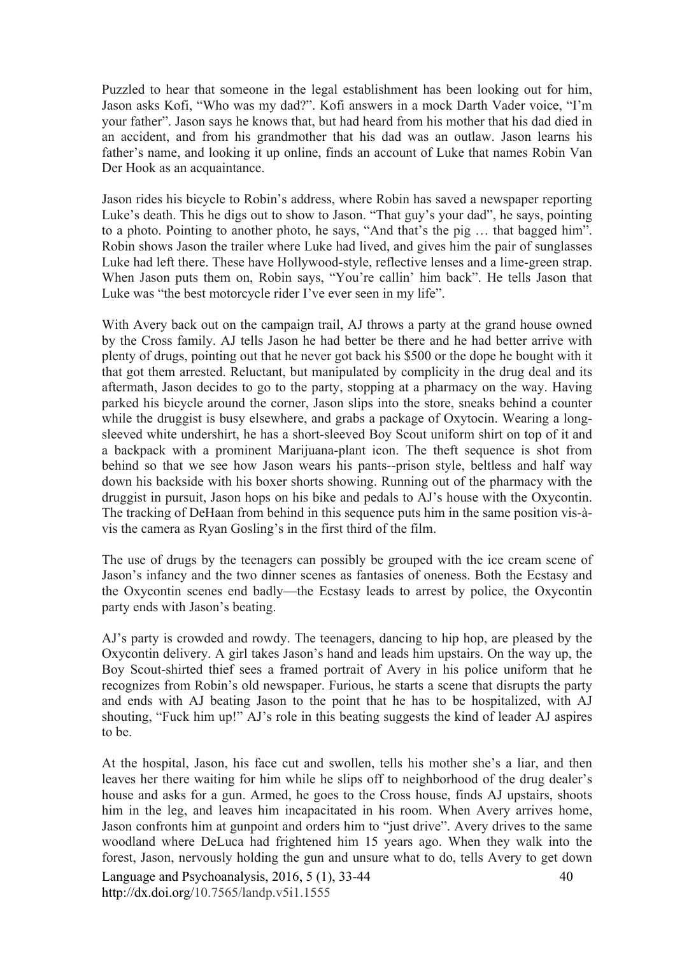Puzzled to hear that someone in the legal establishment has been looking out for him, Jason asks Kofi, "Who was my dad?". Kofi answers in a mock Darth Vader voice, "I'm your father". Jason says he knows that, but had heard from his mother that his dad died in an accident, and from his grandmother that his dad was an outlaw. Jason learns his father's name, and looking it up online, finds an account of Luke that names Robin Van Der Hook as an acquaintance.

Jason rides his bicycle to Robin's address, where Robin has saved a newspaper reporting Luke's death. This he digs out to show to Jason. "That guy's your dad", he says, pointing to a photo. Pointing to another photo, he says, "And that's the pig … that bagged him". Robin shows Jason the trailer where Luke had lived, and gives him the pair of sunglasses Luke had left there. These have Hollywood-style, reflective lenses and a lime-green strap. When Jason puts them on, Robin says, "You're callin' him back". He tells Jason that Luke was "the best motorcycle rider I've ever seen in my life".

With Avery back out on the campaign trail, AJ throws a party at the grand house owned by the Cross family. AJ tells Jason he had better be there and he had better arrive with plenty of drugs, pointing out that he never got back his \$500 or the dope he bought with it that got them arrested. Reluctant, but manipulated by complicity in the drug deal and its aftermath, Jason decides to go to the party, stopping at a pharmacy on the way. Having parked his bicycle around the corner, Jason slips into the store, sneaks behind a counter while the druggist is busy elsewhere, and grabs a package of Oxytocin. Wearing a longsleeved white undershirt, he has a short-sleeved Boy Scout uniform shirt on top of it and a backpack with a prominent Marijuana-plant icon. The theft sequence is shot from behind so that we see how Jason wears his pants--prison style, beltless and half way down his backside with his boxer shorts showing. Running out of the pharmacy with the druggist in pursuit, Jason hops on his bike and pedals to AJ's house with the Oxycontin. The tracking of DeHaan from behind in this sequence puts him in the same position vis-àvis the camera as Ryan Gosling's in the first third of the film.

The use of drugs by the teenagers can possibly be grouped with the ice cream scene of Jason's infancy and the two dinner scenes as fantasies of oneness. Both the Ecstasy and the Oxycontin scenes end badly—the Ecstasy leads to arrest by police, the Oxycontin party ends with Jason's beating.

AJ's party is crowded and rowdy. The teenagers, dancing to hip hop, are pleased by the Oxycontin delivery. A girl takes Jason's hand and leads him upstairs. On the way up, the Boy Scout-shirted thief sees a framed portrait of Avery in his police uniform that he recognizes from Robin's old newspaper. Furious, he starts a scene that disrupts the party and ends with AJ beating Jason to the point that he has to be hospitalized, with AJ shouting, "Fuck him up!" AJ's role in this beating suggests the kind of leader AJ aspires to be.

At the hospital, Jason, his face cut and swollen, tells his mother she's a liar, and then leaves her there waiting for him while he slips off to neighborhood of the drug dealer's house and asks for a gun. Armed, he goes to the Cross house, finds AJ upstairs, shoots him in the leg, and leaves him incapacitated in his room. When Avery arrives home, Jason confronts him at gunpoint and orders him to "just drive". Avery drives to the same woodland where DeLuca had frightened him 15 years ago. When they walk into the forest, Jason, nervously holding the gun and unsure what to do, tells Avery to get down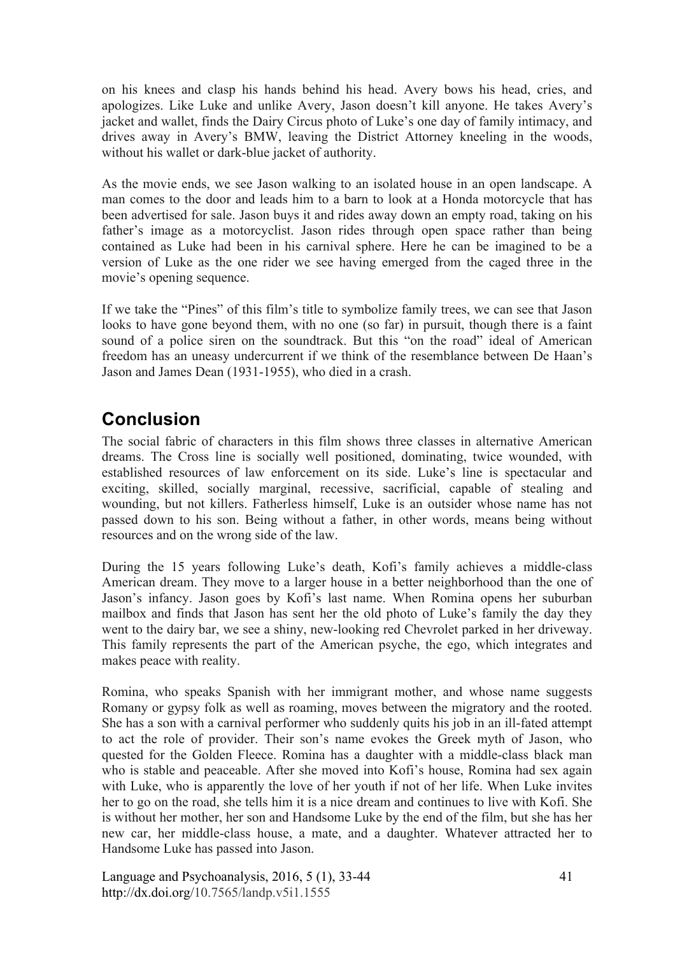on his knees and clasp his hands behind his head. Avery bows his head, cries, and apologizes. Like Luke and unlike Avery, Jason doesn't kill anyone. He takes Avery's jacket and wallet, finds the Dairy Circus photo of Luke's one day of family intimacy, and drives away in Avery's BMW, leaving the District Attorney kneeling in the woods, without his wallet or dark-blue jacket of authority.

As the movie ends, we see Jason walking to an isolated house in an open landscape. A man comes to the door and leads him to a barn to look at a Honda motorcycle that has been advertised for sale. Jason buys it and rides away down an empty road, taking on his father's image as a motorcyclist. Jason rides through open space rather than being contained as Luke had been in his carnival sphere. Here he can be imagined to be a version of Luke as the one rider we see having emerged from the caged three in the movie's opening sequence.

If we take the "Pines" of this film's title to symbolize family trees, we can see that Jason looks to have gone beyond them, with no one (so far) in pursuit, though there is a faint sound of a police siren on the soundtrack. But this "on the road" ideal of American freedom has an uneasy undercurrent if we think of the resemblance between De Haan's Jason and James Dean (1931-1955), who died in a crash.

# **Conclusion**

The social fabric of characters in this film shows three classes in alternative American dreams. The Cross line is socially well positioned, dominating, twice wounded, with established resources of law enforcement on its side. Luke's line is spectacular and exciting, skilled, socially marginal, recessive, sacrificial, capable of stealing and wounding, but not killers. Fatherless himself, Luke is an outsider whose name has not passed down to his son. Being without a father, in other words, means being without resources and on the wrong side of the law.

During the 15 years following Luke's death, Kofi's family achieves a middle-class American dream. They move to a larger house in a better neighborhood than the one of Jason's infancy. Jason goes by Kofi's last name. When Romina opens her suburban mailbox and finds that Jason has sent her the old photo of Luke's family the day they went to the dairy bar, we see a shiny, new-looking red Chevrolet parked in her driveway. This family represents the part of the American psyche, the ego, which integrates and makes peace with reality.

Romina, who speaks Spanish with her immigrant mother, and whose name suggests Romany or gypsy folk as well as roaming, moves between the migratory and the rooted. She has a son with a carnival performer who suddenly quits his job in an ill-fated attempt to act the role of provider. Their son's name evokes the Greek myth of Jason, who quested for the Golden Fleece. Romina has a daughter with a middle-class black man who is stable and peaceable. After she moved into Kofi's house, Romina had sex again with Luke, who is apparently the love of her youth if not of her life. When Luke invites her to go on the road, she tells him it is a nice dream and continues to live with Kofi. She is without her mother, her son and Handsome Luke by the end of the film, but she has her new car, her middle-class house, a mate, and a daughter. Whatever attracted her to Handsome Luke has passed into Jason.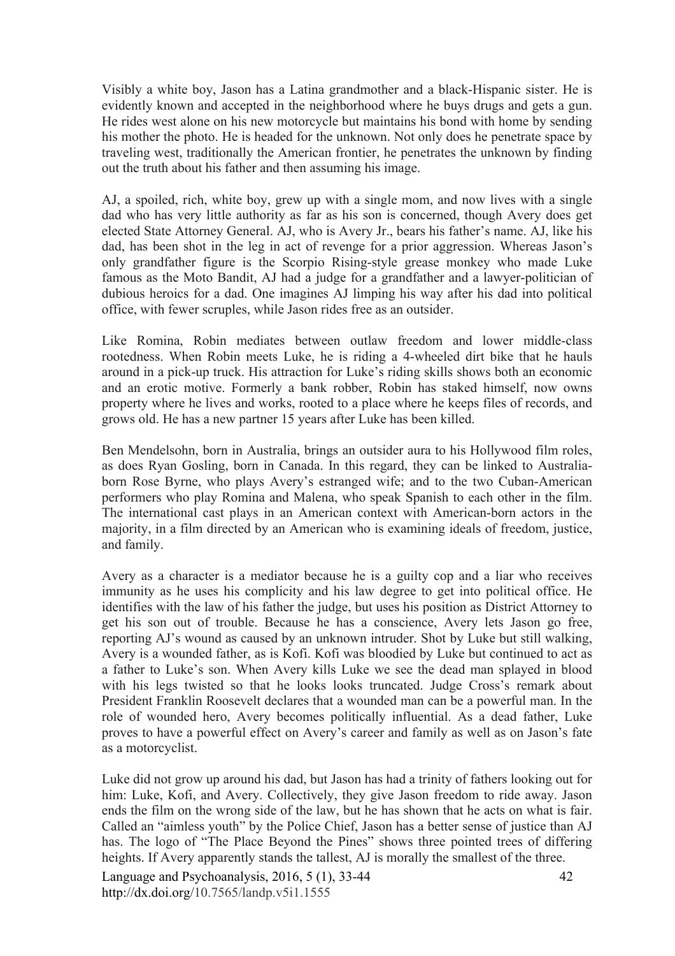Visibly a white boy, Jason has a Latina grandmother and a black-Hispanic sister. He is evidently known and accepted in the neighborhood where he buys drugs and gets a gun. He rides west alone on his new motorcycle but maintains his bond with home by sending his mother the photo. He is headed for the unknown. Not only does he penetrate space by traveling west, traditionally the American frontier, he penetrates the unknown by finding out the truth about his father and then assuming his image.

AJ, a spoiled, rich, white boy, grew up with a single mom, and now lives with a single dad who has very little authority as far as his son is concerned, though Avery does get elected State Attorney General. AJ, who is Avery Jr., bears his father's name. AJ, like his dad, has been shot in the leg in act of revenge for a prior aggression. Whereas Jason's only grandfather figure is the Scorpio Rising-style grease monkey who made Luke famous as the Moto Bandit, AJ had a judge for a grandfather and a lawyer-politician of dubious heroics for a dad. One imagines AJ limping his way after his dad into political office, with fewer scruples, while Jason rides free as an outsider.

Like Romina, Robin mediates between outlaw freedom and lower middle-class rootedness. When Robin meets Luke, he is riding a 4-wheeled dirt bike that he hauls around in a pick-up truck. His attraction for Luke's riding skills shows both an economic and an erotic motive. Formerly a bank robber, Robin has staked himself, now owns property where he lives and works, rooted to a place where he keeps files of records, and grows old. He has a new partner 15 years after Luke has been killed.

Ben Mendelsohn, born in Australia, brings an outsider aura to his Hollywood film roles, as does Ryan Gosling, born in Canada. In this regard, they can be linked to Australiaborn Rose Byrne, who plays Avery's estranged wife; and to the two Cuban-American performers who play Romina and Malena, who speak Spanish to each other in the film. The international cast plays in an American context with American-born actors in the majority, in a film directed by an American who is examining ideals of freedom, justice, and family.

Avery as a character is a mediator because he is a guilty cop and a liar who receives immunity as he uses his complicity and his law degree to get into political office. He identifies with the law of his father the judge, but uses his position as District Attorney to get his son out of trouble. Because he has a conscience, Avery lets Jason go free, reporting AJ's wound as caused by an unknown intruder. Shot by Luke but still walking, Avery is a wounded father, as is Kofi. Kofi was bloodied by Luke but continued to act as a father to Luke's son. When Avery kills Luke we see the dead man splayed in blood with his legs twisted so that he looks looks truncated. Judge Cross's remark about President Franklin Roosevelt declares that a wounded man can be a powerful man. In the role of wounded hero, Avery becomes politically influential. As a dead father, Luke proves to have a powerful effect on Avery's career and family as well as on Jason's fate as a motorcyclist.

Luke did not grow up around his dad, but Jason has had a trinity of fathers looking out for him: Luke, Kofi, and Avery. Collectively, they give Jason freedom to ride away. Jason ends the film on the wrong side of the law, but he has shown that he acts on what is fair. Called an "aimless youth" by the Police Chief, Jason has a better sense of justice than AJ has. The logo of "The Place Beyond the Pines" shows three pointed trees of differing heights. If Avery apparently stands the tallest, AJ is morally the smallest of the three.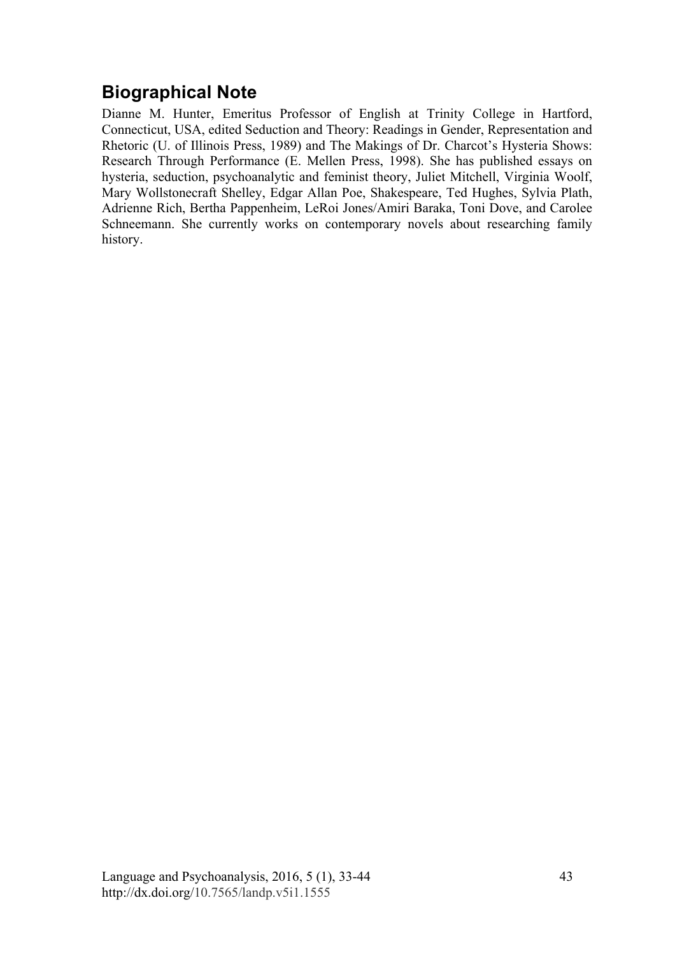## **Biographical Note**

Dianne M. Hunter, Emeritus Professor of English at Trinity College in Hartford, Connecticut, USA, edited Seduction and Theory: Readings in Gender, Representation and Rhetoric (U. of Illinois Press, 1989) and The Makings of Dr. Charcot's Hysteria Shows: Research Through Performance (E. Mellen Press, 1998). She has published essays on hysteria, seduction, psychoanalytic and feminist theory, Juliet Mitchell, Virginia Woolf, Mary Wollstonecraft Shelley, Edgar Allan Poe, Shakespeare, Ted Hughes, Sylvia Plath, Adrienne Rich, Bertha Pappenheim, LeRoi Jones/Amiri Baraka, Toni Dove, and Carolee Schneemann. She currently works on contemporary novels about researching family history.